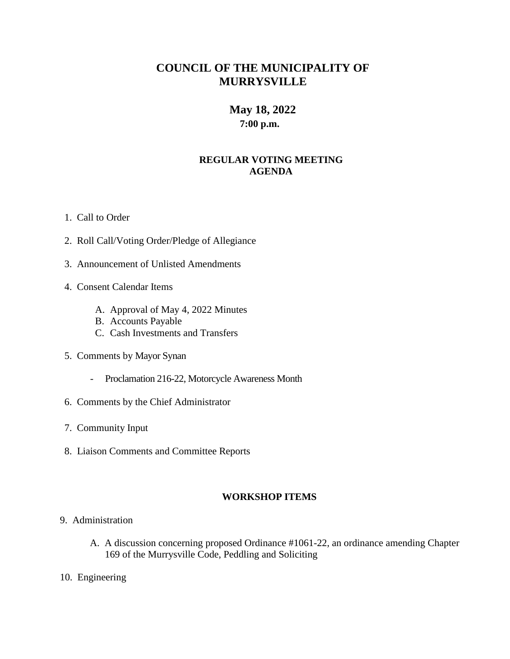# **COUNCIL OF THE MUNICIPALITY OF MURRYSVILLE**

## **May 18, 2022 7:00 p.m.**

### **REGULAR VOTING MEETING AGENDA**

- 1. Call to Order
- 2. Roll Call/Voting Order/Pledge of Allegiance
- 3. Announcement of Unlisted Amendments
- 4. Consent Calendar Items
	- A. Approval of May 4, 2022 Minutes
	- B. Accounts Payable
	- C. Cash Investments and Transfers
- 5. Comments by Mayor Synan
	- Proclamation 216-22, Motorcycle Awareness Month
- 6. Comments by the Chief Administrator
- 7. Community Input
- 8. Liaison Comments and Committee Reports

#### **WORKSHOP ITEMS**

- 9. Administration
	- A. A discussion concerning proposed Ordinance #1061-22, an ordinance amending Chapter 169 of the Murrysville Code, Peddling and Soliciting
- 10. Engineering